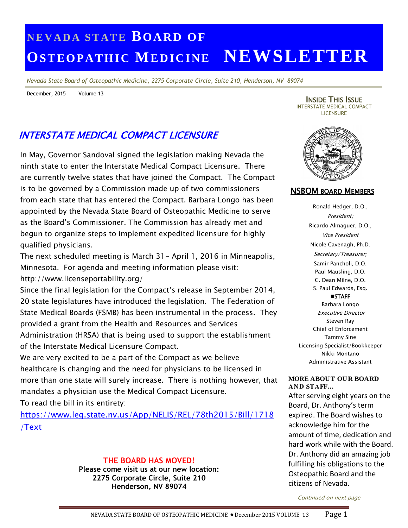# **N E V A D A S T A T E BO A R D O F OS T EO PA T H IC ME DI C INE NEWSLETTER**

*Nevada State Board of Osteopathic Medicine, 2275 Corporate Circle, Suite 210, Henderson, NV 89074*

December, 2015 Volume 13

INSIDE THIS ISSUE INTERSTATE MEDICAL COMPACT **LICENSURE** 

# INTERSTATE MEDICAL COMPACT LICENSURE

In May, Governor Sandoval signed the legislation making Nevada the ninth state to enter the Interstate Medical Compact Licensure. There are currently twelve states that have joined the Compact. The Compact is to be governed by a Commission made up of two commissioners from each state that has entered the Compact. Barbara Longo has been appointed by the Nevada State Board of Osteopathic Medicine to serve as the Board's Commissioner. The Commission has already met and begun to organize steps to implement expedited licensure for highly qualified physicians.

The next scheduled meeting is March 31- April 1, 2016 in Minneapolis, Minnesota. For agenda and meeting information please visit: http://www.licenseportability.org/

Since the final legislation for the Compact's release in September 2014, 20 state legislatures have introduced the legislation. The Federation of State Medical Boards (FSMB) has been instrumental in the process. They provided a grant from the Health and Resources and Services Administration (HRSA) that is being used to support the establishment of the Interstate Medical Licensure Compact.

We are very excited to be a part of the Compact as we believe healthcare is changing and the need for physicians to be licensed in more than one state will surely increase. There is nothing however, that mandates a physician use the Medical Compact Licensure.

To read the bill in its entirety:

[https://www.leg.state.nv.us/App/NELIS/REL/78th2015/Bill/1718](https://www.leg.state.nv.us/App/NELIS/REL/78th2015/Bill/1718/Text) [/Text](https://www.leg.state.nv.us/App/NELIS/REL/78th2015/Bill/1718/Text)

### **THE BOARD HAS MOVED!**

**Please come visit us at our new location: 2275 Corporate Circle, Suite 210 Henderson, NV 89074**



### NSBOM BOARD MEMBERS

Ronald Hedger, D.O., President; Ricardo Almaguer, D.O., Vice President Nicole Cavenagh, Ph.D. Secretary/Treasurer; Samir Pancholi, D.O. Paul Mausling, D.O. C. Dean Milne, D.O. S. Paul Edwards, Esq. **STAFF** Barbara Longo

Executive Director Steven Ray Chief of Enforcement Tammy Sine Licensing Specialist/Bookkeeper Nikki Montano Administrative Assistant

#### **MORE ABOUT OUR BOARD AND STAFF…**

. Board, Dr. Anthony's term After serving eight years on the expired. The Board wishes to acknowledge him for the amount of time, dedication and hard work while with the Board. Dr. Anthony did an amazing job fulfilling his obligations to the Osteopathic Board and the citizens of Nevada.

Continued on next page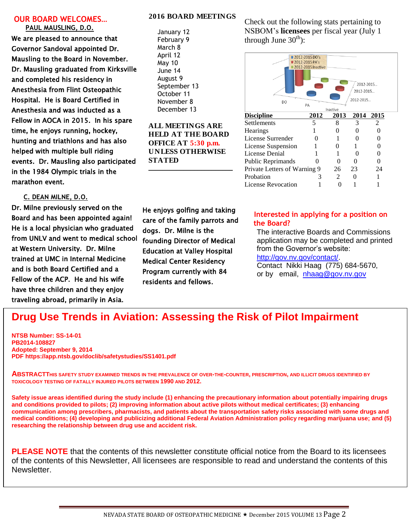#### **OUR BOARD WELCOMES… PAUL MAUSLING, D.O.**

We are pleased to announce that Governor Sandoval appointed Dr. Mausling to the Board in November. Dr. Mausling graduated from Kirksville and completed his residency in Anesthesia from Flint Osteopathic Hospital. He is Board Certified in Anesthesia and was inducted as a Fellow in AOCA in 2015. In his spare time, he enjoys running, hockey, hunting and triathlons and has also helped with multiple bull riding events. Dr. Mausling also participated in the 1984 Olympic trials in the marathon event.

**C. DEAN MILNE, D.O.**

Dr. Milne previously served on the Board and has been appointed again! He is a local physician who graduated from UNLV and went to medical school at Western University. Dr. Milne trained at UMC in Internal Medicine and is both Board Certified and a Fellow of the ACP. He and his wife have three children and they enjoy traveling abroad, primarily in Asia.

#### **2016 BOARD MEETINGS**

January 12 February 9 March 8 April 12 May 10 June 14 August 9 September 13 October 11 November 8 December 13

**ALL MEETINGS ARE HELD AT THE BOARD OFFICE AT 5:30 p.m. UNLESS OTHERWISE STATED**

**\_\_\_\_\_\_\_\_\_\_\_\_\_\_\_\_\_\_\_\_\_\_\_\_**

Check out the following stats pertaining to NSBOM's **licensees** per fiscal year (July 1 through June  $30<sup>th</sup>$ :



He enjoys golfing and taking care of the family parrots and dogs. Dr. Milne is the founding Director of Medical Education at Valley Hospital Medical Center Residency Program currently with 84 residents and fellows.

### **Interested in applying for a position on the Board?**

 The interactive Boards and Commissions application may be completed and printed from the Governor's website: [http://gov.nv.gov/contact/.](http://gov.nv.gov/contact/)

 Contact Nikki Haag (775) 684-5670, or by email, [nhaag@gov.nv.gov](mailto:nhaag@gov.nv.gov)

# **Drug Use Trends in Aviation: Assessing the Risk of Pilot Impairment**

**NTSB Number: SS-14-01 PB2014-108827 Adopted: September 9, 2014 [PDF](https://app.ntsb.gov/doclib/safetystudies/SS1401.pdf) https://app.ntsb.gov/doclib/safetystudies/SS1401.pdf**

**ABSTRACTTHIS SAFETY STUDY EXAMINED TRENDS IN THE PREVALENCE OF OVER-THE-COUNTER, PRESCRIPTION, AND ILLICIT DRUGS IDENTIFIED BY TOXICOLOGY TESTING OF FATALLY INJURED PILOTS BETWEEN 1990 AND 2012.**

 **communication among prescribers, pharmacists, and patients about the transportation safety risks associated with some drugs and Interested in applying medical conditions; (4) developing and publicizing additional Federal Aviation Administration policy regarding marijuana use; and (5) for a position on the researching the relationship between drug use and accident risk. Safety issue areas identified during the study include (1) enhancing the precautionary information about potentially impairing drugs and conditions provided to pilots; (2) improving information about active pilots without medical certificates; (3) enhancing** 

**PLEASE NOTE** that the contents of this newsletter constitute official notice from the Board to its licensees completed and proposable for the second from the second from the second from the second stress  $\epsilon$ of the contents of this Newsletter, All licensees are responsible to read and understand the contents of this<br>... Newsletter.

 $\mathcal{O}(\mathcal{O}(\log n))$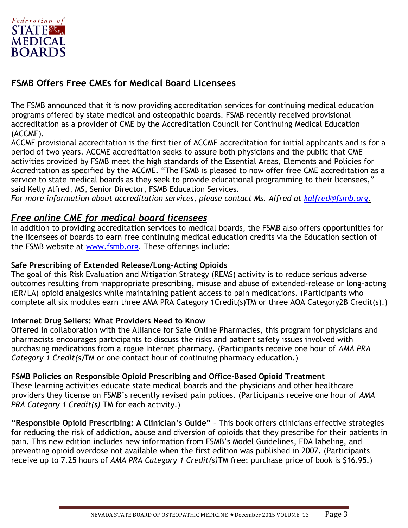

### **FSMB Offers Free CMEs for Medical Board Licensees**

The FSMB announced that it is now providing accreditation services for continuing medical education programs offered by state medical and osteopathic boards. FSMB recently received provisional accreditation as a provider of CME by the Accreditation Council for Continuing Medical Education (ACCME).

ACCME provisional accreditation is the first tier of ACCME accreditation for initial applicants and is for a period of two years. ACCME accreditation seeks to assure both physicians and the public that CME activities provided by FSMB meet the high standards of the Essential Areas, Elements and Policies for Accreditation as specified by the ACCME. "The FSMB is pleased to now offer free CME accreditation as a service to state medical boards as they seek to provide educational programming to their licensees," said Kelly Alfred, MS, Senior Director, FSMB Education Services.

*For more information about accreditation services, please contact Ms. Alfred at [kalfred@fsmb.org.](mailto:kalfred@fsmb.org)*

### *Free online CME for medical board licensees*

In addition to providing accreditation services to medical boards, the FSMB also offers opportunities for the licensees of boards to earn free continuing medical education credits via the Education section of the FSMB website at [www.fsmb.org.](http://www.fsmb.org/) These offerings include:

### **Safe Prescribing of Extended Release/Long-Acting Opioids**

The goal of this Risk Evaluation and Mitigation Strategy (REMS) activity is to reduce serious adverse outcomes resulting from inappropriate prescribing, misuse and abuse of extended-release or long-acting (ER/LA) opioid analgesics while maintaining patient access to pain medications. (Participants who complete all six modules earn three AMA PRA Category 1Credit(s)TM or three AOA Category2B Credit(s).)

### **Internet Drug Sellers: What Providers Need to Know**

Offered in collaboration with the Alliance for Safe Online Pharmacies, this program for physicians and pharmacists encourages participants to discuss the risks and patient safety issues involved with purchasing medications from a rogue Internet pharmacy. (Participants receive one hour of *AMA PRA Category 1 Credit(s)*TM or one contact hour of continuing pharmacy education.)

### **FSMB Policies on Responsible Opioid Prescribing and Office-Based Opioid Treatment**

These learning activities educate state medical boards and the physicians and other healthcare providers they license on FSMB's recently revised pain polices. (Participants receive one hour of *AMA PRA Category 1 Credit(s)* TM for each activity.)

**"Responsible Opioid Prescribing: A Clinician's Guide"** – This book offers clinicians effective strategies for reducing the risk of addiction, abuse and diversion of opioids that they prescribe for their patients in pain. This new edition includes new information from FSMB's Model Guidelines, FDA labeling, and preventing opioid overdose not available when the first edition was published in 2007. (Participants receive up to 7.25 hours of *AMA PRA Category 1 Credit(s)*TM free; purchase price of book is \$16.95.)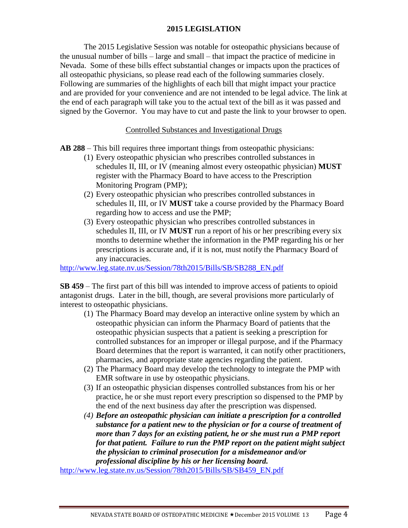### **2015 LEGISLATION**

The 2015 Legislative Session was notable for osteopathic physicians because of the unusual number of bills – large and small – that impact the practice of medicine in Nevada. Some of these bills effect substantial changes or impacts upon the practices of all osteopathic physicians, so please read each of the following summaries closely. Following are summaries of the highlights of each bill that might impact your practice and are provided for your convenience and are not intended to be legal advice. The link at the end of each paragraph will take you to the actual text of the bill as it was passed and signed by the Governor. You may have to cut and paste the link to your browser to open.

### Controlled Substances and Investigational Drugs

**AB 288** – This bill requires three important things from osteopathic physicians:

- (1) Every osteopathic physician who prescribes controlled substances in schedules II, III, or IV (meaning almost every osteopathic physician) **MUST** register with the Pharmacy Board to have access to the Prescription Monitoring Program (PMP);
- (2) Every osteopathic physician who prescribes controlled substances in schedules II, III, or IV **MUST** take a course provided by the Pharmacy Board regarding how to access and use the PMP;
- (3) Every osteopathic physician who prescribes controlled substances in schedules II, III, or IV **MUST** run a report of his or her prescribing every six months to determine whether the information in the PMP regarding his or her prescriptions is accurate and, if it is not, must notify the Pharmacy Board of any inaccuracies.

[http://www.leg.state.nv.us/Session/78th2015/Bills/SB/SB288\\_EN.pdf](http://www.leg.state.nv.us/Session/78th2015/Bills/SB/SB288_EN.pdf)

**SB 459** – The first part of this bill was intended to improve access of patients to opioid antagonist drugs. Later in the bill, though, are several provisions more particularly of interest to osteopathic physicians.

- (1) The Pharmacy Board may develop an interactive online system by which an osteopathic physician can inform the Pharmacy Board of patients that the osteopathic physician suspects that a patient is seeking a prescription for controlled substances for an improper or illegal purpose, and if the Pharmacy Board determines that the report is warranted, it can notify other practitioners, pharmacies, and appropriate state agencies regarding the patient.
- (2) The Pharmacy Board may develop the technology to integrate the PMP with EMR software in use by osteopathic physicians.
- (3) If an osteopathic physician dispenses controlled substances from his or her practice, he or she must report every prescription so dispensed to the PMP by the end of the next business day after the prescription was dispensed.
- *(4) Before an osteopathic physician can initiate a prescription for a controlled substance for a patient new to the physician or for a course of treatment of more than 7 days for an existing patient, he or she must run a PMP report for that patient. Failure to run the PMP report on the patient might subject the physician to criminal prosecution for a misdemeanor and/or professional discipline by his or her licensing board.*

[http://www.leg.state.nv.us/Session/78th2015/Bills/SB/SB459\\_EN.pdf](http://www.leg.state.nv.us/Session/78th2015/Bills/SB/SB459_EN.pdf)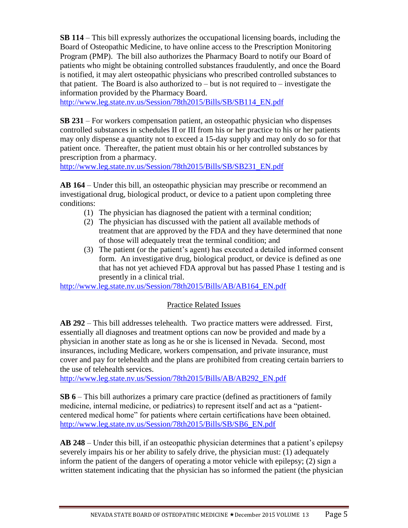**SB 114** – This bill expressly authorizes the occupational licensing boards, including the Board of Osteopathic Medicine, to have online access to the Prescription Monitoring Program (PMP). The bill also authorizes the Pharmacy Board to notify our Board of patients who might be obtaining controlled substances fraudulently, and once the Board is notified, it may alert osteopathic physicians who prescribed controlled substances to that patient. The Board is also authorized to  $-$  but is not required to  $-$  investigate the information provided by the Pharmacy Board.

[http://www.leg.state.nv.us/Session/78th2015/Bills/SB/SB114\\_EN.pdf](http://www.leg.state.nv.us/Session/78th2015/Bills/SB/SB114_EN.pdf)

**SB 231** – For workers compensation patient, an osteopathic physician who dispenses controlled substances in schedules II or III from his or her practice to his or her patients may only dispense a quantity not to exceed a 15-day supply and may only do so for that patient once. Thereafter, the patient must obtain his or her controlled substances by prescription from a pharmacy.

[http://www.leg.state.nv.us/Session/78th2015/Bills/SB/SB231\\_EN.pdf](http://www.leg.state.nv.us/Session/78th2015/Bills/SB/SB231_EN.pdf)

**AB 164** – Under this bill, an osteopathic physician may prescribe or recommend an investigational drug, biological product, or device to a patient upon completing three conditions:

- (1) The physician has diagnosed the patient with a terminal condition;
- (2) The physician has discussed with the patient all available methods of treatment that are approved by the FDA and they have determined that none of those will adequately treat the terminal condition; and
- (3) The patient (or the patient's agent) has executed a detailed informed consent form. An investigative drug, biological product, or device is defined as one that has not yet achieved FDA approval but has passed Phase 1 testing and is presently in a clinical trial.

[http://www.leg.state.nv.us/Session/78th2015/Bills/AB/AB164\\_EN.pdf](http://www.leg.state.nv.us/Session/78th2015/Bills/AB/AB164_EN.pdf)

### Practice Related Issues

**AB 292** – This bill addresses telehealth. Two practice matters were addressed. First, essentially all diagnoses and treatment options can now be provided and made by a physician in another state as long as he or she is licensed in Nevada. Second, most insurances, including Medicare, workers compensation, and private insurance, must cover and pay for telehealth and the plans are prohibited from creating certain barriers to the use of telehealth services.

[http://www.leg.state.nv.us/Session/78th2015/Bills/AB/AB292\\_EN.pdf](http://www.leg.state.nv.us/Session/78th2015/Bills/AB/AB292_EN.pdf)

**SB 6** – This bill authorizes a primary care practice (defined as practitioners of family medicine, internal medicine, or pediatrics) to represent itself and act as a "patientcentered medical home" for patients where certain certifications have been obtained. [http://www.leg.state.nv.us/Session/78th2015/Bills/SB/SB6\\_EN.pdf](http://www.leg.state.nv.us/Session/78th2015/Bills/SB/SB6_EN.pdf)

**AB 248** – Under this bill, if an osteopathic physician determines that a patient's epilepsy severely impairs his or her ability to safely drive, the physician must: (1) adequately inform the patient of the dangers of operating a motor vehicle with epilepsy; (2) sign a written statement indicating that the physician has so informed the patient (the physician